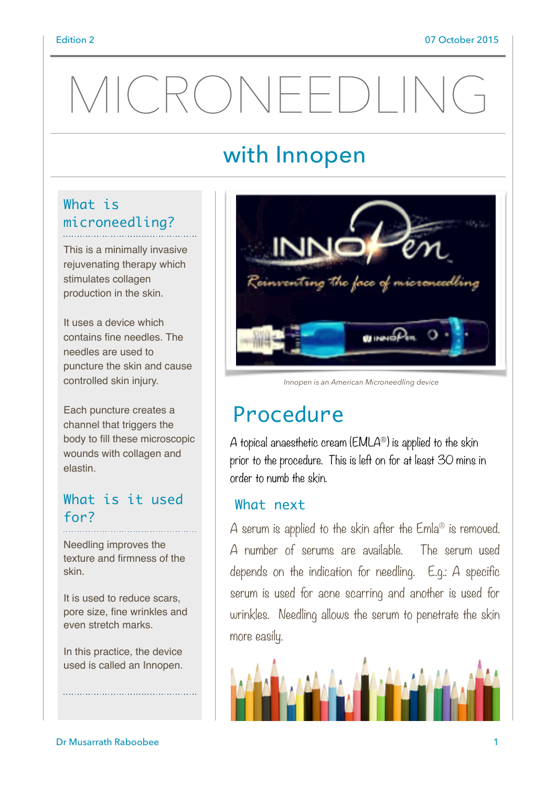# MICRONEEDLING

## with Innopen

#### What is microneedling?

This is a minimally invasive rejuvenating therapy which stimulates collagen production in the skin.

It uses a device which contains fine needles. The needles are used to puncture the skin and cause controlled skin injury.

Each puncture creates a channel that triggers the body to fill these microscopic wounds with collagen and elastin.

#### What is it used for?

Needling improves the texture and firmness of the skin.

It is used to reduce scars, pore size, fine wrinkles and even stretch marks.

In this practice, the device used is called an Innopen.



*Innopen is an American Microneedling device*

## Procedure

A topical anaesthetic cream ( $EMLA^{\circledcirc}$ ) is applied to the skin prior to the procedure. This is left on for at least 30 mins in order to numb the skin.

#### What next

A serum is applied to the skin after the  $Emla^{\circledR}$  is removed. A number of serums are available. The serum used depends on the indication for needling. E.g.: A specific serum is used for acne scarring and another is used for wrinkles. Needling allows the serum to penetrate the skin more easily.